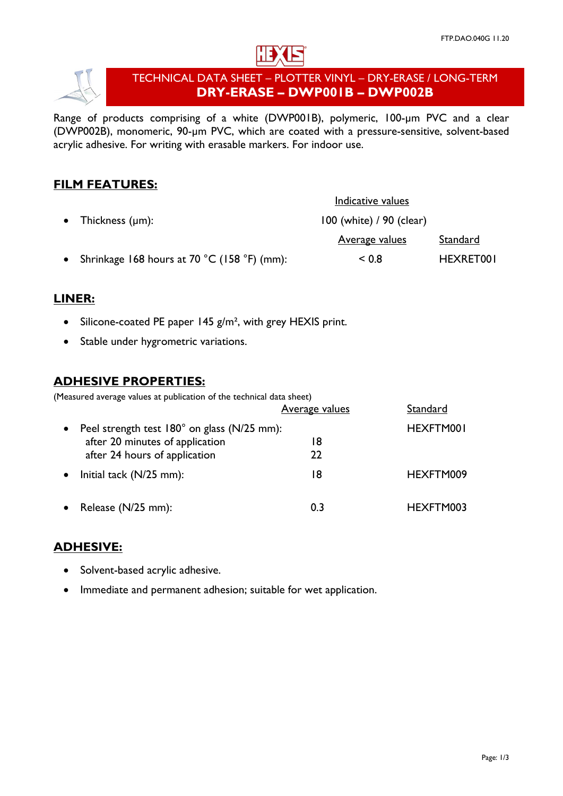



# TECHNICAL DATA SHEET – PLOTTER VINYL – DRY-ERASE / LONG-TERM **DRY-ERASE – DWP001B – DWP002B**

Range of products comprising of a white (DWP001B), polymeric, 100-um PVC and a clear (DWP002B), monomeric, 90-µm PVC, which are coated with a pressure-sensitive, solvent-based acrylic adhesive. For writing with erasable markers. For indoor use.

# **FILM FEATURES:**

|                                                                   | Indicative values        |           |
|-------------------------------------------------------------------|--------------------------|-----------|
| • Thickness $(\mu m)$ :                                           | 100 (white) / 90 (clear) |           |
|                                                                   | <u>Average values</u>    | Standard  |
| • Shrinkage 168 hours at 70 $^{\circ}$ C (158 $^{\circ}$ F) (mm): | ${}_{0.8}$               | HEXRET001 |

## **LINER:**

- Silicone-coated PE paper 145 g/m<sup>2</sup>, with grey HEXIS print.
- Stable under hygrometric variations.

#### **ADHESIVE PROPERTIES:**

(Measured average values at publication of the technical data sheet)

|           |                                             | <b>Average values</b> | Standard  |
|-----------|---------------------------------------------|-----------------------|-----------|
| $\bullet$ | Peel strength test 180° on glass (N/25 mm): |                       | HEXFTM001 |
|           | after 20 minutes of application             | 18                    |           |
|           | after 24 hours of application               | 22                    |           |
| $\bullet$ | Initial tack $(N/25$ mm):                   | 18                    | HEXFTM009 |
| $\bullet$ | Release (N/25 mm):                          | 0.3                   | HEXFTM003 |

### **ADHESIVE:**

- Solvent-based acrylic adhesive.
- Immediate and permanent adhesion; suitable for wet application.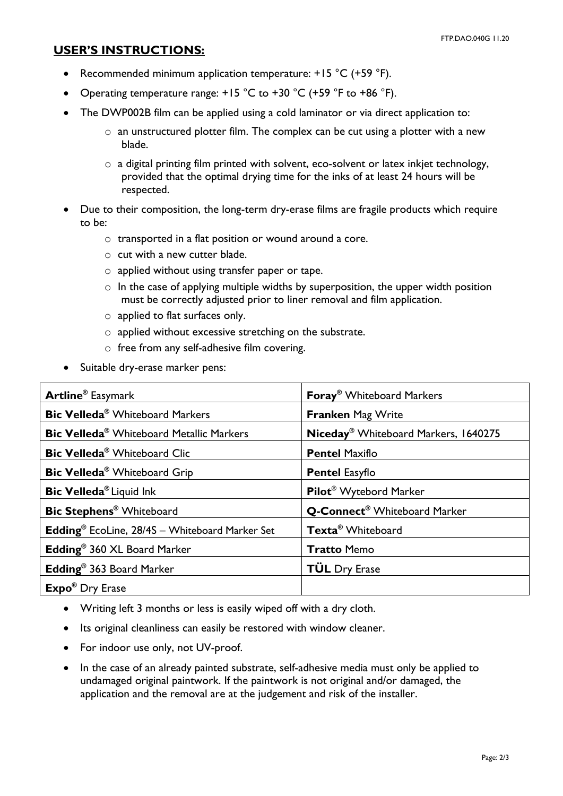### **USER'S INSTRUCTIONS:**

- Recommended minimum application temperature: +15 °C (+59 °F).
- Operating temperature range:  $+15$  °C to  $+30$  °C ( $+59$  °F to  $+86$  °F).
- The DWP002B film can be applied using a cold laminator or via direct application to:
	- o an unstructured plotter film. The complex can be cut using a plotter with a new blade.
	- $\circ$  a digital printing film printed with solvent, eco-solvent or latex inkjet technology, provided that the optimal drying time for the inks of at least 24 hours will be respected.
- Due to their composition, the long-term dry-erase films are fragile products which require to be:
	- o transported in a flat position or wound around a core.
	- o cut with a new cutter blade.
	- o applied without using transfer paper or tape.
	- $\circ$  In the case of applying multiple widths by superposition, the upper width position must be correctly adjusted prior to liner removal and film application.
	- o applied to flat surfaces only.
	- o applied without excessive stretching on the substrate.
	- o free from any self-adhesive film covering.
- Suitable dry-erase marker pens:

| <b>Artline<sup>®</sup></b> Easymark                               | <b>Foray<sup>®</sup></b> Whiteboard Markers      |  |
|-------------------------------------------------------------------|--------------------------------------------------|--|
| <b>Bic Velleda<sup>®</sup></b> Whiteboard Markers                 | <b>Franken Mag Write</b>                         |  |
| <b>Bic Velleda<sup>®</sup></b> Whiteboard Metallic Markers        | Niceday <sup>®</sup> Whiteboard Markers, 1640275 |  |
| <b>Bic Velleda<sup>®</sup></b> Whiteboard Clic                    | <b>Pentel Maxiflo</b>                            |  |
| Bic Velleda® Whiteboard Grip                                      | <b>Pentel Easyflo</b>                            |  |
| Bic Velleda <sup>®</sup> Liquid Ink                               | Pilot <sup>®</sup> Wytebord Marker               |  |
| <b>Bic Stephens<sup>®</sup></b> Whiteboard                        | Q-Connect <sup>®</sup> Whiteboard Marker         |  |
| <b>Edding</b> <sup>®</sup> EcoLine, 28/4S - Whiteboard Marker Set | Texta <sup>®</sup> Whiteboard                    |  |
| Edding <sup>®</sup> 360 XL Board Marker                           | <b>Tratto Memo</b>                               |  |
| Edding <sup>®</sup> 363 Board Marker                              | <b>TÜL</b> Dry Erase                             |  |
| <b>Expo</b> ® Dry Erase                                           |                                                  |  |

- Writing left 3 months or less is easily wiped off with a dry cloth.
- Its original cleanliness can easily be restored with window cleaner.
- For indoor use only, not UV-proof.
- In the case of an already painted substrate, self-adhesive media must only be applied to undamaged original paintwork. If the paintwork is not original and/or damaged, the application and the removal are at the judgement and risk of the installer.